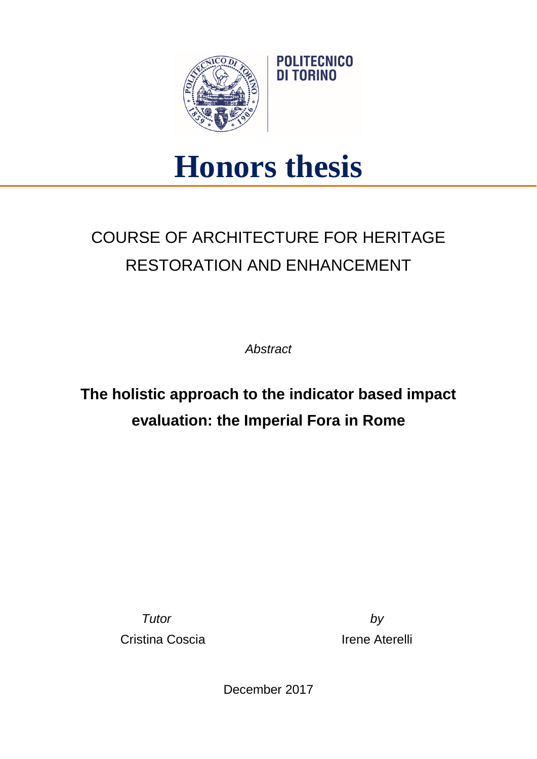

## **Honors thesis**

## COURSE OF ARCHITECTURE FOR HERITAGE RESTORATION AND ENHANCEMENT

*Abstract*

**The holistic approach to the indicator based impact evaluation: the Imperial Fora in Rome**

> *Tutor by* Cristina Coscia **Irene Aterelli**

December 2017